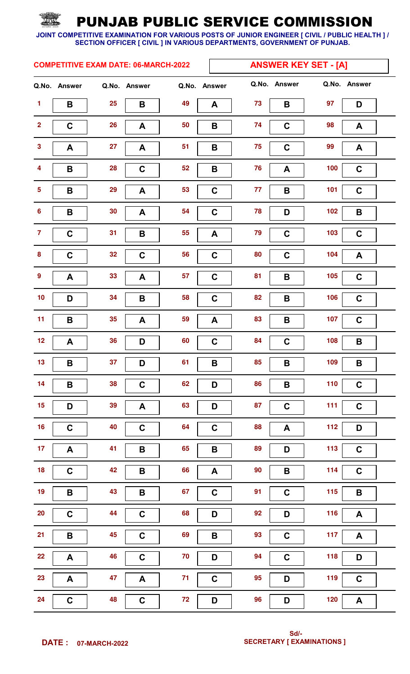|                         |              |    | <b>COMPETITIVE EXAM DATE: 06-MARCH-2022</b> |              | <b>ANSWER KEY SET - [A]</b> |                    |       |              |  |  |
|-------------------------|--------------|----|---------------------------------------------|--------------|-----------------------------|--------------------|-------|--------------|--|--|
|                         | Q.No. Answer |    | Q.No. Answer                                | Q.No. Answer |                             | Q.No. Answer       |       | Q.No. Answer |  |  |
| $\blacktriangleleft$    | B            | 25 | B                                           | 49           | 73<br>A                     | B                  | 97    | D            |  |  |
| $\overline{\mathbf{2}}$ | $\mathbf C$  | 26 | A                                           | 50           | 74<br>B                     | $\mathbf C$        | 98    | A            |  |  |
| $\mathbf{3}$            | A            | 27 | A                                           | 51           | 75<br>$\mathbf B$           | $\mathbf C$        | 99    | A            |  |  |
| $\overline{\mathbf{4}}$ | $\mathbf B$  | 28 | $\mathbf C$                                 | 52           | 76<br>$\, {\bf B}$          | A                  | 100   | $\mathbf C$  |  |  |
| $\overline{5}$          | B            | 29 | A                                           | 53           | $\mathbf C$<br>77           | $\pmb{\mathsf{B}}$ | 101   | $\mathbf C$  |  |  |
| $\boldsymbol{6}$        | B            | 30 | A                                           | 54           | 78<br>$\mathbf C$           | D                  | 102   | B            |  |  |
| $\overline{7}$          | $\mathbf C$  | 31 | B                                           | 55           | 79<br>A                     | $\mathbf C$        | 103   | $\mathbf C$  |  |  |
| $\pmb{8}$               | $\mathbf C$  | 32 | $\mathbf C$                                 | 56           | 80<br>$\mathbf C$           | $\mathbf C$        | 104   | A            |  |  |
| $\boldsymbol{9}$        | A            | 33 | A                                           | 57           | 81<br>$\mathbf C$           | $\pmb{\mathsf{B}}$ | 105   | $\mathbf C$  |  |  |
| $10$                    | D            | 34 | B                                           | 58           | 82<br>$\mathbf C$           | B                  | 106   | $\mathbf C$  |  |  |
| 11                      | $\mathbf B$  | 35 | A                                           | 59           | 83<br>A                     | $\pmb{\mathsf{B}}$ | 107   | $\mathbf C$  |  |  |
| 12                      | A            | 36 | D                                           | 60           | 84<br>$\mathbf C$           | $\mathbf C$        | 108   | B            |  |  |
| 13                      | B            | 37 | D                                           | 61           | B<br>85                     | B                  | 109   | B            |  |  |
| 14                      | B            | 38 | $\mathbf C$                                 | 62           | 86<br>D                     | $\pmb{\mathsf{B}}$ | 110   | $\mathbf C$  |  |  |
| 15                      | D            | 39 | $\boldsymbol{\mathsf{A}}$                   | 63           | 87<br>D                     | $\mathbf C$        | $111$ | $\mathbf C$  |  |  |
| <b>16</b>               | $\mathbf C$  | 40 | $\mathbf C$                                 | 64           | 88<br>$\mathbf C$           | A                  | 112   | D            |  |  |
| 17 <sub>2</sub>         | A            | 41 | B                                           | 65           | 89<br>$\, {\bf B}$          | D                  | 113   | $\mathbf C$  |  |  |
| 18                      | $\mathbf C$  | 42 | $\pmb{\mathsf{B}}$                          | 66           | 90<br>A                     | $\pmb{\mathsf{B}}$ | 114   | $\mathbf C$  |  |  |
| 19                      | B            | 43 | $\pmb{\mathsf{B}}$                          | 67           | 91<br>$\mathbf C$           | $\mathbf C$        | 115   | B            |  |  |
| $20\,$                  | $\mathbf C$  | 44 | $\mathbf C$                                 | 68           | 92<br>D                     | D                  | 116   | A            |  |  |
| 21                      | B            | 45 | $\mathbf C$                                 | 69           | 93<br>$\, {\bf B}$          | $\mathbf C$        | 117   | A            |  |  |
| 22                      | A            | 46 | $\mathbf C$                                 | 70           | 94<br>D                     | $\mathbf C$        | 118   | D            |  |  |
| 23                      | A            | 47 | A                                           | 71           | 95<br>$\mathbf C$           | D                  | 119   | $\mathbf C$  |  |  |
| 24                      | $\mathbf C$  | 48 | $\mathbf C$                                 | 72           | 96<br>D                     | D                  | 120   | A            |  |  |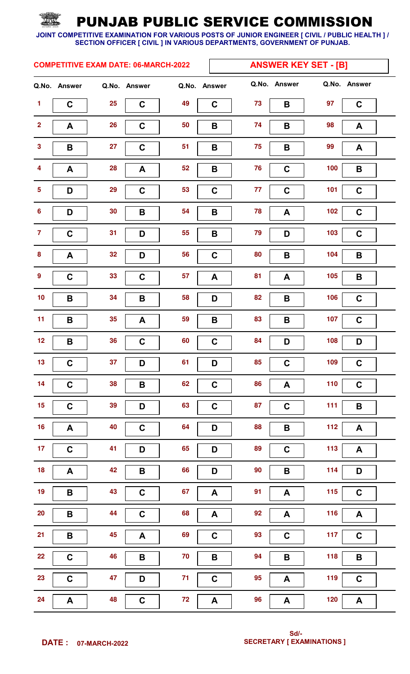|                         |              |    | <b>COMPETITIVE EXAM DATE: 06-MARCH-2022</b> |              | <b>ANSWER KEY SET - [B]</b> |                           |       |                    |  |
|-------------------------|--------------|----|---------------------------------------------|--------------|-----------------------------|---------------------------|-------|--------------------|--|
|                         | Q.No. Answer |    | Q.No. Answer                                | Q.No. Answer |                             | Q.No. Answer              |       | Q.No. Answer       |  |
| $\mathbf{1}$            | $\mathbf C$  | 25 | $\mathbf c$                                 | 49           | 73<br>$\mathbf C$           | B                         | 97    | $\mathbf C$        |  |
| $\overline{\mathbf{2}}$ | A            | 26 | $\mathbf C$                                 | 50           | 74<br>$\mathbf B$           | $\pmb{\mathsf{B}}$        | 98    | A                  |  |
| $\mathbf{3}$            | B            | 27 | $\mathbf C$                                 | 51           | 75<br>B                     | B                         | 99    | A                  |  |
| $\overline{\mathbf{4}}$ | $\mathsf{A}$ | 28 | A                                           | 52           | 76<br>$\mathbf B$           | $\mathbf C$               | 100   | $\mathbf B$        |  |
| $\sqrt{5}$              | D            | 29 | $\mathbf C$                                 | 53           | 77<br>$\mathbf C$           | $\mathbf C$               | 101   | $\mathbf C$        |  |
| $\boldsymbol{6}$        | D            | 30 | B                                           | 54           | 78<br>$\mathbf B$           | A                         | 102   | $\mathbf C$        |  |
| $\overline{7}$          | $\mathbf C$  | 31 | D                                           | 55           | 79<br>B                     | D                         | 103   | $\mathbf C$        |  |
| 8                       | A            | 32 | D                                           | 56           | 80<br>$\mathbf C$           | $\, {\bf B}$              | 104   | B                  |  |
| $\boldsymbol{9}$        | $\mathbf C$  | 33 | $\mathbf C$                                 | 57           | 81<br>A                     | A                         | 105   | $\, {\bf B}$       |  |
| 10                      | B            | 34 | B                                           | 58           | 82<br>D                     | B                         | 106   | $\mathbf C$        |  |
| 11                      | B            | 35 | A                                           | 59           | 83<br>B                     | $\, {\bf B}$              | 107   | $\mathbf C$        |  |
| 12                      | $\mathbf B$  | 36 | $\mathbf C$                                 | 60           | 84<br>$\mathbf C$           | D                         | 108   | D                  |  |
| $13$                    | $\mathbf C$  | 37 | D                                           | 61           | 85<br>D                     | C                         | 109   | $\mathbf C$        |  |
| 14                      | $\mathbf C$  | 38 | $\pmb{\mathsf{B}}$                          | 62           | 86<br>$\mathbf C$           | $\boldsymbol{\mathsf{A}}$ | $110$ | $\mathbf C$        |  |
| 15                      | $\mathbf C$  | 39 | D                                           | 63           | 87<br>$\mathbf C$           | $\mathbf C$               | $111$ | B                  |  |
| $16$                    | A            | 40 | $\mathbf C$                                 | 64           | 88<br>D                     | $\pmb{\mathsf{B}}$        | $112$ | A                  |  |
| 17 <sub>2</sub>         | $\mathbf C$  | 41 | D                                           | 65           | 89<br>D                     | $\mathbf C$               | $113$ | A                  |  |
| 18                      | A            | 42 | $\pmb{\mathsf{B}}$                          | 66           | 90<br>D                     | $\mathbf B$               | 114   | D                  |  |
| 19                      | $\mathbf B$  | 43 | $\mathbf C$                                 | 67           | 91<br>A                     | A                         | 115   | $\mathbf C$        |  |
| $20\,$                  | $\mathbf B$  | 44 | $\mathbf C$                                 | 68           | 92<br>A                     | A                         | 116   | A                  |  |
| 21                      | $\mathbf B$  | 45 | A                                           | 69           | 93<br>$\mathbf C$           | $\mathbf C$               | $117$ | $\mathbf C$        |  |
| 22                      | $\mathbf C$  | 46 | $\pmb{\mathsf{B}}$                          | $70$         | 94<br>$\pmb{\mathsf{B}}$    | $\mathbf B$               | 118   | $\pmb{\mathsf{B}}$ |  |
| 23                      | $\mathbf C$  | 47 | D                                           | $71$         | 95<br>$\mathbf C$           | A                         | 119   | $\mathbf C$        |  |
| 24                      | $\mathsf{A}$ | 48 | $\mathbf C$                                 | 72           | 96<br>A                     | A                         | $120$ | $\mathsf{A}$       |  |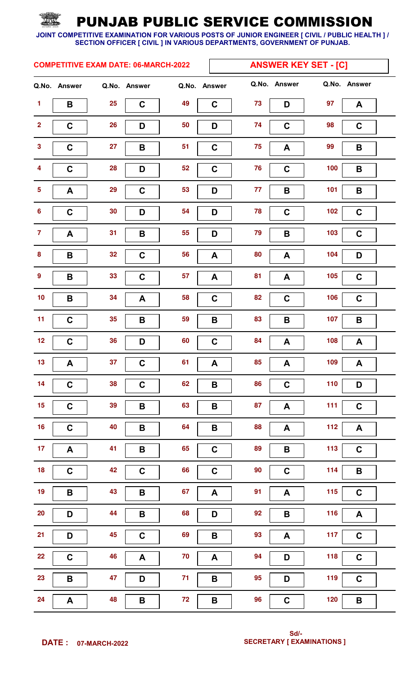|                         |              |    | <b>COMPETITIVE EXAM DATE: 06-MARCH-2022</b> |              | <b>ANSWER KEY SET - [C]</b> |                           |            |              |  |
|-------------------------|--------------|----|---------------------------------------------|--------------|-----------------------------|---------------------------|------------|--------------|--|
|                         | Q.No. Answer |    | Q.No. Answer                                | Q.No. Answer |                             | Q.No. Answer              |            | Q.No. Answer |  |
| $\mathbf{1}$            | B            | 25 | $\mathbf C$                                 | 49           | 73<br>$\mathbf c$           | D                         | 97         | A            |  |
| $\overline{\mathbf{2}}$ | $\mathbf C$  | 26 | D                                           | 50           | 74<br>D                     | $\mathbf C$               | 98         | $\mathbf C$  |  |
| $\mathbf{3}$            | $\mathbf C$  | 27 | B                                           | 51           | 75<br>$\mathbf C$           | $\boldsymbol{A}$          | 99         | $\mathbf B$  |  |
| $\overline{\mathbf{4}}$ | $\mathbf C$  | 28 | D                                           | 52           | 76<br>$\mathbf C$           | $\mathbf C$               | 100        | B            |  |
| $\overline{\mathbf{5}}$ | A            | 29 | $\mathbf C$                                 | 53           | 77<br>D                     | $\pmb{\mathsf{B}}$        | 101        | B            |  |
| $\bf 6$                 | $\mathbf C$  | 30 | D                                           | 54           | 78<br>D                     | $\mathbf C$               | 102        | $\mathbf C$  |  |
| $\overline{7}$          | A            | 31 | B                                           | 55           | D<br>79                     | B                         | 103        | $\mathbf C$  |  |
| $\pmb{8}$               | B            | 32 | $\mathbf C$                                 | 56           | 80<br>A                     | A                         | 104        | D            |  |
| $\boldsymbol{9}$        | B            | 33 | $\mathbf C$                                 | 57           | 81<br>A                     | A                         | 105        | $\mathbf C$  |  |
| $10$                    | B            | 34 | A                                           | 58           | 82<br>$\mathbf C$           | $\mathbf C$               | 106        | $\mathbf C$  |  |
| 11                      | $\mathbf C$  | 35 | B                                           | 59           | 83<br>$\mathbf B$           | $\pmb{\mathsf{B}}$        | 107        | B            |  |
| 12                      | $\mathbf C$  | 36 | D                                           | 60           | 84<br>$\mathbf C$           | A                         | 108        | A            |  |
| 13                      | A            | 37 | $\mathbf C$                                 | 61           | A<br>85                     | $\boldsymbol{A}$          | 109        | $\mathbf{A}$ |  |
| 14                      | $\mathbf C$  | 38 | $\mathbf C$                                 | 62           | 86<br>B                     | $\mathbf C$               | 110        | D            |  |
| 15                      | $\mathbf C$  | 39 | $\pmb{\mathsf{B}}$                          | 63           | 87<br>$\pmb{\mathsf{B}}$    | $\boldsymbol{\mathsf{A}}$ | $111$      | $\mathbf C$  |  |
| <b>16</b>               | $\mathbf C$  | 40 | $\, {\bf B}$                                | 64           | 88<br>$\pmb{\mathsf{B}}$    | A                         | 112        | A            |  |
| 17 <sub>2</sub>         | A            | 41 | B                                           | 65           | 89<br>$\mathbf C$           | $\pmb{\mathsf{B}}$        | $113$      | $\mathbf C$  |  |
| 18                      | $\mathbf C$  | 42 | $\mathbf C$                                 | 66           | 90<br>$\mathbf C$           | $\mathbf C$               | 114        | $\mathbf B$  |  |
| 19                      | B            | 43 | $\pmb{\mathsf{B}}$                          | 67           | 91<br>A                     | A                         | 115        | $\mathbf C$  |  |
| $20\,$                  | D            | 44 | $\, {\bf B}$                                | 68           | 92<br>D                     | $\pmb{\mathsf{B}}$        | 116        | $\mathbf{A}$ |  |
| 21                      | D            | 45 | $\mathbf C$                                 | 69           | 93<br>$\, {\bf B}$          | A                         | 117        | $\mathbf{C}$ |  |
| 22                      | $\mathbf C$  | 46 | A                                           | 70           | 94<br>A                     | D                         | <b>118</b> | $\mathbf C$  |  |
| 23                      | $\mathbf B$  | 47 | D                                           | 71           | 95<br>$\, {\bf B}$          | D                         | 119        | $\mathbf C$  |  |
| 24                      | A            | 48 | B                                           | 72           | 96<br>B                     | $\mathbf C$               | 120        | B            |  |